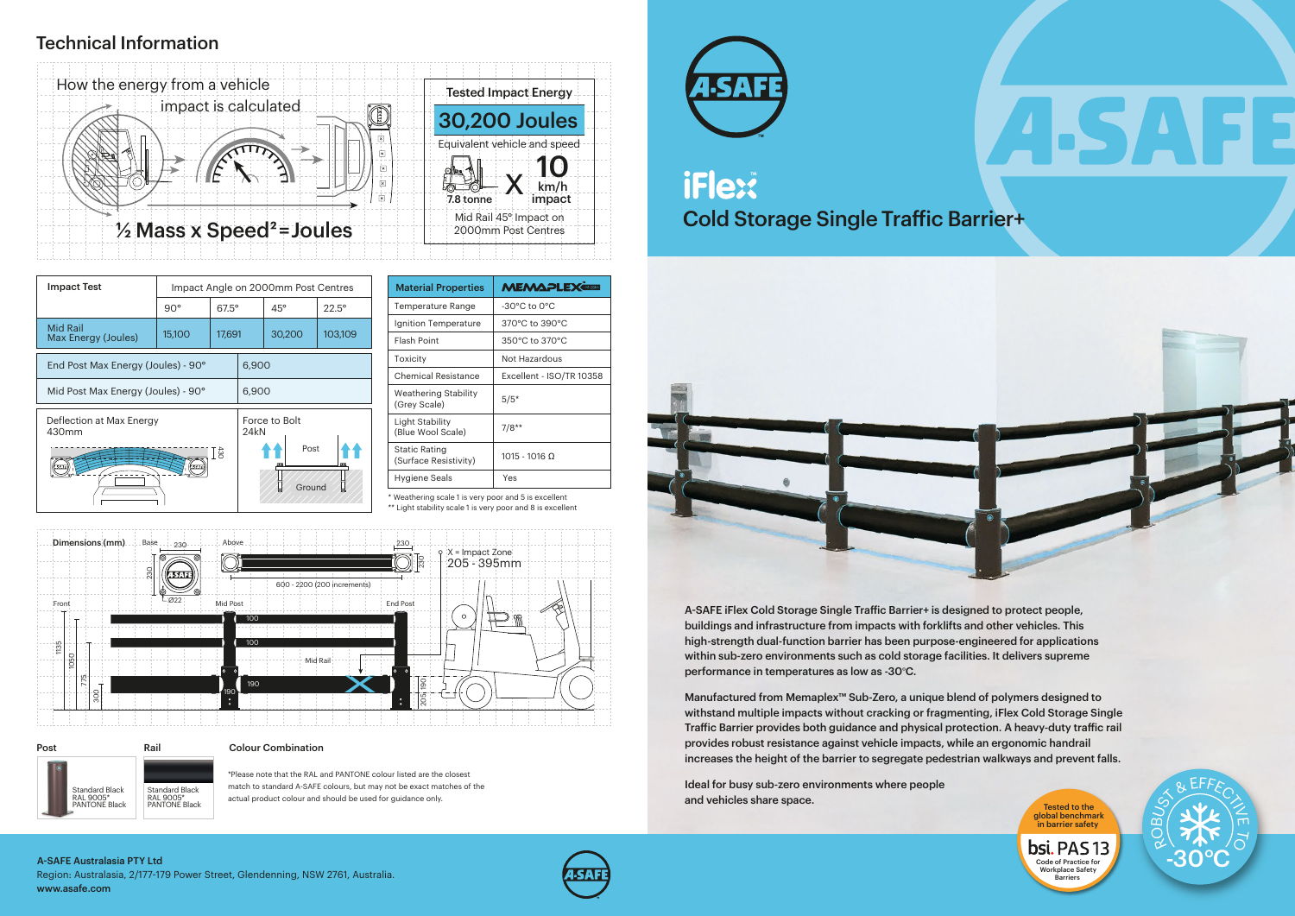

Post Rail Standard Black RAL 9005\* PANTONE Black Standard Black RAL 9005\* PANTONE Black

### Technical Information

\* Weathering scale 1 is very poor and 5 is excellent

\*\* Light stability scale 1 is very poor and 8 is excellent

| <b>MEMAPLEX®RED</b>                |  |  |
|------------------------------------|--|--|
| $-30^{\circ}$ C to $0^{\circ}$ C   |  |  |
| 370°C to 390°C                     |  |  |
| $350^{\circ}$ C to $370^{\circ}$ C |  |  |
| Not Hazardous                      |  |  |
| Excellent - ISO/TR 10358           |  |  |
| $5/5*$                             |  |  |
| $7/8**$                            |  |  |
| $1015 - 1016$ Ω                    |  |  |
| Yes                                |  |  |
|                                    |  |  |

A-SAFE iFlex Cold Storage Single Traffic Barrier+ is designed to protect people, buildings and infrastructure from impacts with forklifts and other vehicles. This high-strength dual-function barrier has been purpose-engineered for applications within sub-zero environments such as cold storage facilities. It delivers supreme performance in temperatures as low as -30°C.

| <b>Impact Test</b>                     | Impact Angle on 2000mm Post Centres |              |                       |            |                |
|----------------------------------------|-------------------------------------|--------------|-----------------------|------------|----------------|
|                                        | $90^\circ$                          | $67.5^\circ$ |                       | $45^\circ$ | $22.5^{\circ}$ |
| <b>Mid Rail</b><br>Max Energy (Joules) | 15,100                              | 17,691       |                       | 30,200     | 103,109        |
| End Post Max Energy (Joules) - 90°     |                                     |              | 6,900                 |            |                |
| Mid Post Max Energy (Joules) - 90°     |                                     |              | 6,900                 |            |                |
| Deflection at Max Energy<br>430mm      |                                     |              | Force to Bolt<br>24kN |            |                |
| ₫Ē                                     |                                     |              | Post<br>Ground        |            |                |

Ideal for busy sub-zero environments where people and vehicles share space.

#### Colour Combination

Code of Practice for Workplace Safety **Barriers** 

bsi. PAS 13

\*Please note that the RAL and PANTONE colour listed are the closest match to standard A-SAFE colours, but may not be exact matches of the actual product colour and should be used for guidance only.



# iFlex® Cold Storage Single Traffic Barrier+







Manufactured from Memaplex™ Sub-Zero, a unique blend of polymers designed to withstand multiple impacts without cracking or fragmenting, iFlex Cold Storage Single Traffic Barrier provides both guidance and physical protection. A heavy-duty traffic rail provides robust resistance against vehicle impacts, while an ergonomic handrail increases the height of the barrier to segregate pedestrian walkways and prevent falls.

> global benchmark in barrier safety